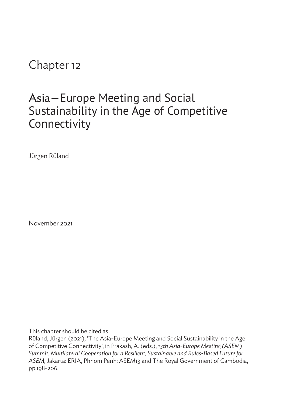Chapter 12

## Asia—Europe Meeting and Social Sustainability in the Age of Competitive Connectivity

JÜrgen RÜland

November 2021

This chapter should be cited as

RÜland, JÜrgen (2021), 'The Asia-Europe Meeting and Social Sustainability in the Age of Competitive Connectivity', in Prakash, A. (eds.), *13th Asia-Europe Meeting (ASEM) Summit: Multilateral Cooperation for a Resilient, Sustainable and Rules-Based Future for ASEM*, Jakarta: ERIA, Phnom Penh: ASEM13 and The Royal Government of Cambodia, pp.198-206.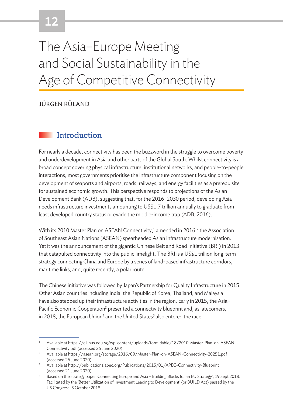# 12

# The Asia–Europe Meeting and Social Sustainability in the Age of Competitive Connectivity

#### JÜRGEN RÜLAND

#### **Introduction**

For nearly a decade, connectivity has been the buzzword in the struggle to overcome poverty and underdevelopment in Asia and other parts of the Global South. Whilst connectivity is a broad concept covering physical infrastructure, institutional networks, and people-to-people interactions, most governments prioritise the infrastructure component focusing on the development of seaports and airports, roads, railways, and energy facilities as a prerequisite for sustained economic growth. This perspective responds to projections of the Asian Development Bank (ADB), suggesting that, for the 2016–2030 period, developing Asia needs infrastructure investments amounting to US\$1.7 trillion annually to graduate from least developed country status or evade the middle-income trap (ADB, 2016).

With its 2010 Master Plan on ASEAN Connectivity, $^1$  amended in 2016, $^2$  the Association of Southeast Asian Nations (ASEAN) spearheaded Asian infrastructure modernisation. Yet it was the announcement of the gigantic Chinese Belt and Road Initiative (BRI) in 2013 that catapulted connectivity into the public limelight. The BRI is a US\$1 trillion long-term strategy connecting China and Europe by a series of land-based infrastructure corridors, maritime links, and, quite recently, a polar route.

The Chinese initiative was followed by Japan's Partnership for Quality Infrastructure in 2015. Other Asian countries including India, the Republic of Korea, Thailand, and Malaysia have also stepped up their infrastructure activities in the region. Early in 2015, the Asia-Pacific Economic Cooperation<sup>3</sup> presented a connectivity blueprint and, as latecomers, in 2018, the European Union<sup>4</sup> and the United States<sup>5</sup> also entered the race

<sup>1</sup> Available at https://cil.nus.edu.sg/wp-content/uploads/formidable/18/2010-Master-Plan-on-ASEAN-Connectivity.pdf (accessed 26 June 2020).

<sup>2</sup> Available at https://asean.org/storage/2016/09/Master-Plan-on-ASEAN-Connectivity-20251.pdf (accessed 26 June 2020).

<sup>3</sup> Available at http://publications.apec.org/Publications/2015/01/APEC-Connectivity-Blueprint (accessed 21 June 2020).

Based on the strategy paper 'Connecting Europe and Asia - Building Blocks for an EU Strategy', 19 Sept 2018.

<sup>5</sup> Facilitated by the 'Better Utilization of Investment Leading to Development' (or BUILD Act) passed by the US Congress, 5 October 2018.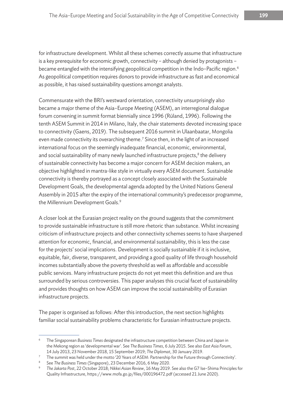for infrastructure development. Whilst all these schemes correctly assume that infrastructure is a key prerequisite for economic growth, connectivity – although denied by protagonists – became entangled with the intensifying geopolitical competition in the Indo-Pacific region.<sup>6</sup> As geopolitical competition requires donors to provide infrastructure as fast and economical as possible, it has raised sustainability questions amongst analysts.

Commensurate with the BRI's westward orientation, connectivity unsurprisingly also became a major theme of the Asia–Europe Meeting (ASEM), an interregional dialogue forum convening in summit format biennially since 1996 (Rüland, 1996). Following the tenth ASEM Summit in 2014 in Milano, Italy, the chair statements devoted increasing space to connectivity (Gaens, 2019). The subsequent 2016 summit in Ulaanbaatar, Mongolia even made connectivity its overarching theme.<sup>7</sup> Since then, in the light of an increased international focus on the seemingly inadequate financial, economic, environmental, and social sustainability of many newly launched infrastructure projects, $^8$  the delivery of sustainable connectivity has become a major concern for ASEM decision makers, an objective highlighted in mantra-like style in virtually every ASEM document. Sustainable connectivity is thereby portrayed as a concept closely associated with the Sustainable Development Goals, the developmental agenda adopted by the United Nations General Assembly in 2015 after the expiry of the international community's predecessor programme, the Millennium Development Goals.<sup>9</sup>

A closer look at the Eurasian project reality on the ground suggests that the commitment to provide sustainable infrastructure is still more rhetoric than substance. Whilst increasing criticism of infrastructure projects and other connectivity schemes seems to have sharpened attention for economic, financial, and environmental sustainability, this is less the case for the projects' social implications. Development is socially sustainable if it is inclusive, equitable, fair, diverse, transparent, and providing a good quality of life through household incomes substantially above the poverty threshold as well as affordable and accessible public services. Many infrastructure projects do not yet meet this definition and are thus surrounded by serious controversies. This paper analyses this crucial facet of sustainability and provides thoughts on how ASEM can improve the social sustainability of Eurasian infrastructure projects.

The paper is organised as follows: After this introduction, the next section highlights familiar social sustainability problems characteristic for Eurasian infrastructure projects.

<sup>6</sup> The Singaporean *Business Times* designated the infrastructure competition between China and Japan in the Mekong region as 'developmental war'. See *The Business Times*, 6 July 2015. See also *East Asia Forum*, 14 July 2013, 23 November 2018, 15 September 2019; *The Diplomat*, 30 January 2019.

<sup>7</sup> The summit was held under the motto '20 Years of ASEM: Partnership for the Future through Connectivity'.

<sup>8</sup> See *The Business Times* (Singapore), 23 December 2016, 6 May 2020.

<sup>9</sup> *The Jakarta Post*, 22 October 2018; *Nikkei Asian Review*, 16 May 2019. See also the G7 Ise–Shima Principles for Quality Infrastructure, https://www.mofa.go.jp/files/000196472.pdf (accessed 21 June 2020).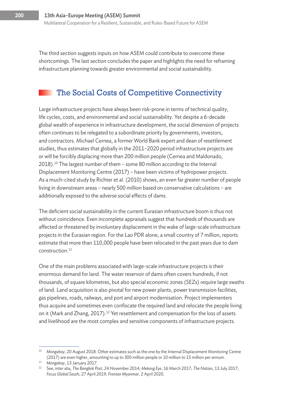The third section suggests inputs on how ASEM could contribute to overcome these shortcomings. The last section concludes the paper and highlights the need for reframing infrastructure planning towards greater environmental and social sustainability.

### The Social Costs of Competitive Connectivity

Large infrastructure projects have always been risk-prone in terms of technical quality, life cycles, costs, and environmental and social sustainability. Yet despite a 6-decade global wealth of experience in infrastructure development, the social dimension of projects often continues to be relegated to a subordinate priority by governments, investors, and contractors. Michael Cernea, a former World Bank expert and dean of resettlement studies, thus estimates that globally in the 2011–2020 period infrastructure projects are or will be forcibly displacing more than 200 million people (Cernea and Maldonado,  $2018$ ).<sup>10</sup> The largest number of them – some 80 million according to the Internal Displacement Monitoring Centre (2017) – have been victims of hydropower projects. As a much-cited study by Richter et al. (2010) shows, an even far greater number of people living in downstream areas – nearly 500 million based on conservative calculations – are additionally exposed to the adverse social effects of dams.

The deficient social sustainability in the current Eurasian infrastructure boom is thus not without coincidence. Even incomplete appraisals suggest that hundreds of thousands are affected or threatened by involuntary displacement in the wake of large-scale infrastructure projects in the Eurasian region. For the Lao PDR alone, a small country of 7 million, reports estimate that more than 110,000 people have been relocated in the past years due to dam  $construction.<sup>11</sup>$ 

One of the main problems associated with large-scale infrastructure projects is their enormous demand for land. The water reservoir of dams often covers hundreds, if not thousands, of square kilometres, but also special economic zones (SEZs) require large swaths of land. Land acquisition is also pivotal for new power plants, power transmission facilities, gas pipelines, roads, railways, and port and airport modernisation. Project implementers thus acquire and sometimes even confiscate the required land and relocate the people living on it (Mark and Zhang, 2017).<sup>12</sup> Yet resettlement and compensation for the loss of assets and livelihood are the most complex and sensitive components of infrastructure projects.

<sup>10</sup> *Mongabay*, 20 August 2018. Other estimates such as the one by the Internal Displacement Monitoring Centre (2017) are even higher, amounting to up to 300 million people or 10 million to 15 million per annum.

<sup>11</sup> *Mongabay*, 13 January 2017.

<sup>12</sup> See, inter alia, *The Bangkok Post*, 24 November 2014; *Mekong Eye*, 16 March 2017; *The Nation*, 13 July 2017; *Focus Global South*, 27 April 2019; *Frontier Myanmar*, 2 April 2020.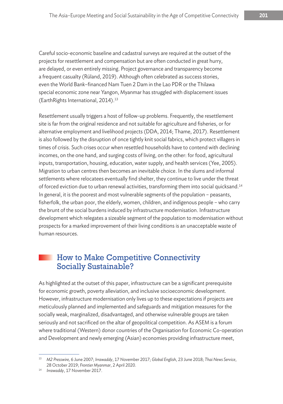Careful socio-economic baseline and cadastral surveys are required at the outset of the projects for resettlement and compensation but are often conducted in great hurry, are delayed, or even entirely missing. Project governance and transparency become a frequent casualty (Rüland, 2019). Although often celebrated as success stories, even the World Bank–financed Nam Tuen 2 Dam in the Lao PDR or the Thilawa special economic zone near Yangon, Myanmar has struggled with displacement issues (EarthRights International, 2014).<sup>13</sup>

Resettlement usually triggers a host of follow-up problems. Frequently, the resettlement site is far from the original residence and not suitable for agriculture and fisheries, or for alternative employment and livelihood projects (DDA, 2014; Thame, 2017). Resettlement is also followed by the disruption of once tightly knit social fabrics, which protect villagers in times of crisis. Such crises occur when resettled households have to contend with declining incomes, on the one hand, and surging costs of living, on the other: for food, agricultural inputs, transportation, housing, education, water supply, and health services (Yee, 2005). Migration to urban centres then becomes an inevitable choice. In the slums and informal settlements where relocatees eventually find shelter, they continue to live under the threat of forced eviction due to urban renewal activities, transforming them into social quicksand.14 In general, it is the poorest and most vulnerable segments of the population – peasants, fisherfolk, the urban poor, the elderly, women, children, and indigenous people – who carry the brunt of the social burdens induced by infrastructure modernisation. Infrastructure development which relegates a sizeable segment of the population to modernisation without prospects for a marked improvement of their living conditions is an unacceptable waste of human resources.

#### How to Make Competitive Connectivity Socially Sustainable?

As highlighted at the outset of this paper, infrastructure can be a significant prerequisite for economic growth, poverty alleviation, and inclusive socioeconomic development. However, infrastructure modernisation only lives up to these expectations if projects are meticulously planned and implemented and safeguards and mitigation measures for the socially weak, marginalized, disadvantaged, and otherwise vulnerable groups are taken seriously and not sacrificed on the altar of geopolitical competition. As ASEM is a forum where traditional (Western) donor countries of the Organisation for Economic Co-operation and Development and newly emerging (Asian) economies providing infrastructure meet,

<sup>13</sup> *M2 Presswire,* 6 June 2007; *Irrawaddy*, 17 November 2017; *Global English*, 23 June 2018; *Thai News Service*, 28 October 2019; *Frontier Myanmar*, 2 April 2020.

<sup>14</sup> *Irrawaddy*, 17 November 2017.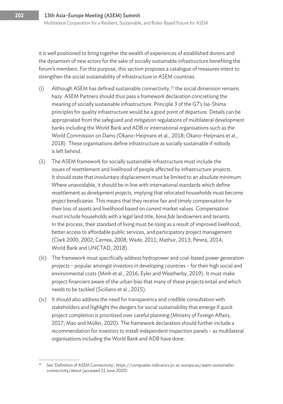it is well positioned to bring together the wealth of experiences of established donors and the dynamism of new actors for the sake of socially sustainable infrastructure benefiting the forum's members. For this purpose, this section proposes a catalogue of measures intent to strengthen the social sustainability of infrastructure in ASEM countries.

- (i) Although ASEM has defined sustainable connectivity,<sup>15</sup> the social dimension remains hazy. ASEM Partners should thus pass a framework declaration concretising the meaning of socially sustainable infrastructure. Principle 3 of the G7's Ise-Shima principles for quality infrastructure would be a good point of departure. Details can be appropriated from the safeguard and mitigation regulations of multilateral development banks including the World Bank and ADB or international organisations such as the World Commission on Dams (Okano-Heijmans et al., 2018; Okano-Heijmans et al., 2018). These organisations define infrastructure as socially sustainable if nobody is left behind.
- (ii) The ASEM framework for socially sustainable infrastructure must include the issues of resettlement and livelihood of people affected by infrastructure projects. It should state that involuntary displacement must be limited to an absolute minimum. Where unavoidable, it should be in line with international standards which define resettlement as *development projects,* implying that relocated households must become *project beneficiaries*. This means that they receive fair and timely compensation for their loss of assets and livelihood based on *current* market values. Compensation must include households with a legal land title, *bona fide* landowners and tenants. In the process, their standard of living must be *rising* as a result of improved livelihood, better access to affordable public services, and participatory project management (Clark 2000, 2002; Cernea, 2008; Wade, 2011; Mathur, 2013; Perera, 2014; World Bank and UNCTAD, 2018).
- (iii) The framework must specifically address hydropower and coal-based power generation projects – popular amongst investors in developing countries – for their high social and environmental costs (Minh et al., 2016; Eyler and Weatherby, 2019). It must make project financiers aware of the urban bias that many of these projects entail and which needs to be tackled (Siciliano et al., 2015).
- (iv) It should also address the need for transparency and credible consultation with stakeholders and highlight the dangers for social sustainability that emerge if quick project completion is prioritised over careful planning (Ministry of Foreign Affairs, 2017; Mao and Müller, 2020). The framework declaration should further include a recommendation for investors to install independent inspection panels – as multilateral organisations including the World Bank and ADB have done.

<sup>15</sup> See 'Definition of ASEM Connectivity', https://composite-indicators.jrc.ec.europa.eu/asem-sustainableconnectivity/about (accessed 21 June 2020).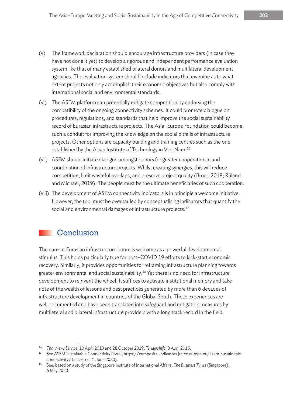- (v) The framework declaration should encourage infrastructure providers (in case they have not done it yet) to develop a rigorous and independent performance evaluation system like that of many established bilateral donors and multilateral development agencies. The evaluation system should include indicators that examine as to what extent projects not only accomplish their economic objectives but also comply with international social and environmental standards.
- (vi) The ASEM platform can potentially mitigate competition by endorsing the compatibility of the ongoing connectivity schemes. It could promote dialogue on procedures, regulations, and standards that help improve the social sustainability record of Eurasian infrastructure projects. The Asia–Europe Foundation could become such a conduit for improving the knowledge on the social pitfalls of infrastructure projects. Other options are capacity building and training centres such as the one established by the Asian Institute of Technology in Viet Nam.<sup>16</sup>
- (vii) ASEM should initiate dialogue amongst donors for greater cooperation in and coordination of infrastructure projects. Whilst creating synergies, this will reduce competition, limit wasteful overlaps, and preserve project quality (Broer, 2018; Rüland and Michael, 2019). The people must be the ultimate beneficiaries of such cooperation.
- (viii) The development of ASEM connectivity indicators is in principle a welcome initiative. However, the tool must be overhauled by conceptualising indicators that quantify the social and environmental damages of infrastructure projects. $17$

#### **Conclusion**

The current Eurasian infrastructure boom is welcome as a powerful developmental stimulus. This holds particularly true for post–COVID 19 efforts to kick-start economic recovery. Similarly, it provides opportunities for reframing infrastructure planning towards greater environmental and social sustainability.<sup>18</sup> Yet there is no need for infrastructure development to reinvent the wheel. It suffices to activate institutional memory and take note of the wealth of lessons and best practices generated by more than 6 decades of infrastructure development in countries of the Global South. These experiences are well documented and have been translated into safeguard and mitigation measures by multilateral and bilateral infrastructure providers with a long track record in the field.

<sup>&</sup>lt;sup>16</sup> *Thai News Service,* 10 April 2013 and 28 October 2019; *TendersInfo,* 3 April 2015.<br><sup>17</sup> See ASEM Sustainable Connectivity Portal, https://composite-indicators.jrc.ec.europa.eu/asem-sustainableconnectivity/ (accessed 21 June 2020).

<sup>18</sup> See, based on a study of the Singapore Institute of International Affairs, *The Business Times* (Singapore), 6 May 2020.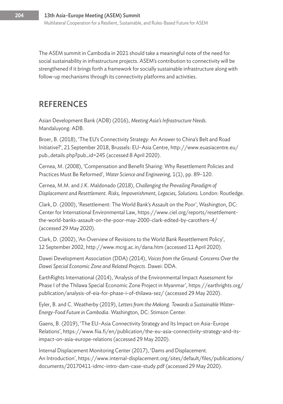The ASEM summit in Cambodia in 2021 should take a meaningful note of the need for social sustainability in infrastructure projects. ASEM's contribution to connectivity will be strengthened if it brings forth a framework for socially sustainable infrastructure along with follow-up mechanisms through its connectivity platforms and activities.

## REFERENCES

Asian Development Bank (ADB) (2016), *Meeting Asia's Infrastructure Needs*. Mandaluyong: ADB.

Broer, B. (2018), 'The EU's Connectivity Strategy: An Answer to China's Belt and Road Initiative?', 21 September 2018, Brussels: EU–Asia Centre, http://www.euasiacentre.eu/ pub\_details.php?pub\_id=245 (accessed 8 April 2020).

Cernea, M. (2008), 'Compensation and Benefit Sharing: Why Resettlement Policies and Practices Must Be Reformed', *Water Science and Engineering,* 1(1), pp. 89–120.

Cernea, M.M. and J.K. Maldonado (2018), *Challenging the Prevailing Paradigm of Displacement and Resettlement. Risks, Impoverishment, Legacies, Solutions.* London: Routledge.

Clark, D. (2000), 'Resettlement: The World Bank's Assault on the Poor', Washington, DC: Center for International Environmental Law, https://www.ciel.org/reports/resettlementthe-world-banks-assault-on-the-poor-may-2000-clark-edited-by-carothers-4/ (accessed 29 May 2020).

Clark, D. (2002), 'An Overview of Revisions to the World Bank Resettlement Policy', 12 September 2002, http://www.mcrg.ac.in/dana.htm (accessed 11 April 2020).

Dawei Development Association (DDA) (2014), *Voices from the Ground: Concerns Over the Dawei Special Economic Zone and Related Projects*. Dawei: DDA.

EarthRights International (2014), 'Analysis of the Environmental Impact Assessment for Phase I of the Thilawa Special Economic Zone Project in Myanmar', https://earthrights.org/ publication/analysis-of-eia-for-phase-i-of-thilawa-sez/ (accessed 29 May 2020).

Eyler, B. and C. Weatherby (2019), *Letters from the Mekong. Towards a Sustainable Water-Energy-Food Future in Cambodia*. Washington, DC: Stimson Center.

Gaens, B. (2019), 'The EU–Asia Connectivity Strategy and Its Impact on Asia–Europe Relations', https://www.fiia.fi/en/publication/the-eu-asia-connectivity-strategy-and-itsimpact-on-asia-europe-relations (accessed 29 May 2020).

Internal Displacement Monitoring Center (2017), 'Dams and Displacement. An Introduction', https://www.internal-displacement.org/sites/default/files/publications/ documents/20170411-idmc-intro-dam-case-study.pdf (accessed 29 May 2020).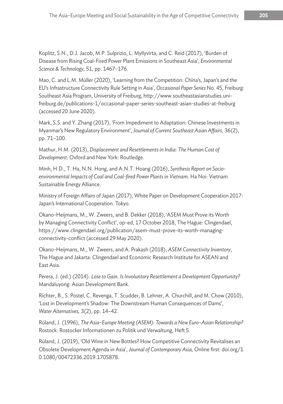Koplitz, S.N., D.J. Jacob, M.P. Sulprizio, L. Myllyvirta, and C. Reid (2017), 'Burden of Disease from Rising Coal-Fired Power Plant Emissions in Southeast Asia', *Environmental Science & Technology,* 51, pp. 1467–176.

Mao, C. and L.M. Müller (2020), 'Learning from the Competition: China's, Japan's and the EU's Infrastructure Connectivity Rule Setting in Asia', *Occasional Paper Series* No. 45, Freiburg: Southeast Asia Program, University of Freiburg, http://www.southeastasianstudies.unifreiburg.de/publications-1/occasional-paper-series-southeast-asian-studies-at-freiburg (accessed 20 June 2020).

Mark, S.S. and Y. Zhang (2017), 'From Impediment to Adaptation: Chinese Investments in Myanmar's New Regulatory Environment', *Journal of Current Southeast Asian Affairs,* 36(2), pp. 71–100.

Mathur, H.M. (2013), *Displacement and Resettlements in India: The Human Cost of Development*. Oxford and New York: Routledge.

Minh, H.D., T. Ha, N.N. Hong, and A.N.T. Hoang (2016), *Synthesis Report on Socioenvironmental Impacts of Coal and Coal-fired Power Plants in Vietnam.* Ha Noi: Vietnam Sustainable Energy Alliance.

Ministry of Foreign Affairs of Japan (2017), White Paper on Development Cooperation 2017: Japan's International Cooperation. Tokyo.

Okano-Heijmans, M., W. Zweers, and B. Dekker (2018), 'ASEM Must Prove its Worth by Managing Connectivity Conflict', op-ed, 17 October 2018, The Hague: Clingendael, https://www.clingendael.org/publication/asem-must-prove-its-worth-managingconnectivity-conflict (accessed 29 May 2020).

Okano-Heijmans, M., W. Zweers, and A. Prakash (2018), *ASEM Connectivity Inventory*, The Hague and Jakarta: Clingendael and Economic Research Institute for ASEAN and East Asia.

Perera, J. (ed.) (2014). *Lose to Gain. Is Involuntary Resettlement a Development Opportunity?* Mandaluyong: Asian Development Bank.

Richter, B., S. Postel, C. Revenga, T. Scudder, B. Lehner, A. Churchill, and M. Chow (2010), 'Lost in Development's Shadow: The Downstream Human Consequences of Dams', *Water Alternatives,* 3(2), pp. 14–42.

Rüland, J. (1996), *The Asia–Europe Meeting (ASEM): Towards a New Euro–Asian Relationship?* Rostock: Rostocker Informationen zu Politik und Verwaltung, Heft 5.

Rüland, J. (2019), 'Old Wine in New Bottles? How Competitive Connectivity Revitalises an Obsolete Development Agenda in Asia', *Journal of Contemporary Asia,* Online first: doi.org/1 0.1080/00472336.2019.1705878.